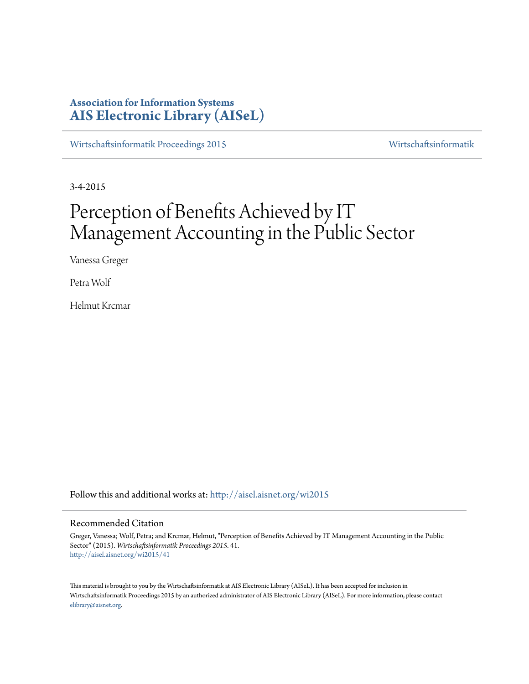# **Association for Information Systems [AIS Electronic Library \(AISeL\)](http://aisel.aisnet.org?utm_source=aisel.aisnet.org%2Fwi2015%2F41&utm_medium=PDF&utm_campaign=PDFCoverPages)**

[Wirtschaftsinformatik Proceedings 2015](http://aisel.aisnet.org/wi2015?utm_source=aisel.aisnet.org%2Fwi2015%2F41&utm_medium=PDF&utm_campaign=PDFCoverPages) [Wirtschaftsinformatik](http://aisel.aisnet.org/wi?utm_source=aisel.aisnet.org%2Fwi2015%2F41&utm_medium=PDF&utm_campaign=PDFCoverPages)

3-4-2015

# Perception of Benefits Achieved by IT Management Accounting in the Public Sector

Vanessa Greger

Petra Wolf

Helmut Krcmar

Follow this and additional works at: [http://aisel.aisnet.org/wi2015](http://aisel.aisnet.org/wi2015?utm_source=aisel.aisnet.org%2Fwi2015%2F41&utm_medium=PDF&utm_campaign=PDFCoverPages)

# Recommended Citation

Greger, Vanessa; Wolf, Petra; and Krcmar, Helmut, "Perception of Benefits Achieved by IT Management Accounting in the Public Sector" (2015). *Wirtschaftsinformatik Proceedings 2015*. 41. [http://aisel.aisnet.org/wi2015/41](http://aisel.aisnet.org/wi2015/41?utm_source=aisel.aisnet.org%2Fwi2015%2F41&utm_medium=PDF&utm_campaign=PDFCoverPages)

This material is brought to you by the Wirtschaftsinformatik at AIS Electronic Library (AISeL). It has been accepted for inclusion in Wirtschaftsinformatik Proceedings 2015 by an authorized administrator of AIS Electronic Library (AISeL). For more information, please contact [elibrary@aisnet.org.](mailto:elibrary@aisnet.org%3E)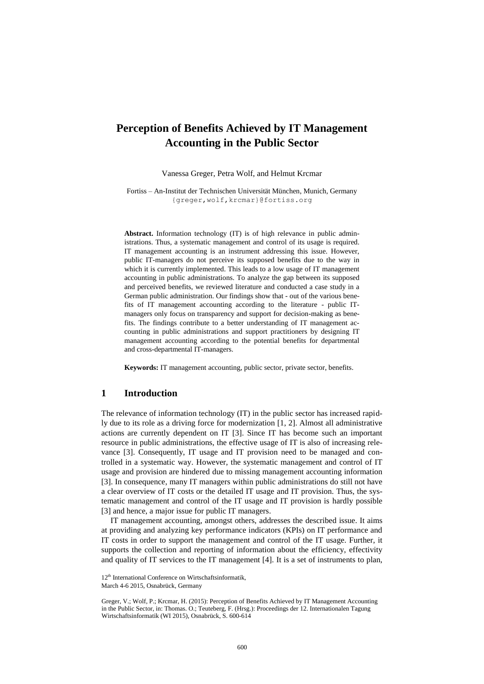# **Perception of Benefits Achieved by IT Management Accounting in the Public Sector**

Vanessa Greger, Petra Wolf, and Helmut Krcmar

Fortiss – An-Institut der Technischen Universität München, Munich, Germany {greger,wolf,krcmar}@fortiss.org

**Abstract.** Information technology (IT) is of high relevance in public administrations. Thus, a systematic management and control of its usage is required. IT management accounting is an instrument addressing this issue. However, public IT-managers do not perceive its supposed benefits due to the way in which it is currently implemented. This leads to a low usage of IT management accounting in public administrations. To analyze the gap between its supposed and perceived benefits, we reviewed literature and conducted a case study in a German public administration. Our findings show that - out of the various benefits of IT management accounting according to the literature - public ITmanagers only focus on transparency and support for decision-making as benefits. The findings contribute to a better understanding of IT management accounting in public administrations and support practitioners by designing IT management accounting according to the potential benefits for departmental and cross-departmental IT-managers.

**Keywords:** IT management accounting, public sector, private sector, benefits.

## **1 Introduction**

The relevance of information technology (IT) in the public sector has increased rapidly due to its role as a driving force for modernization [\[1,](#page-13-0) [2\]](#page-13-1). Almost all administrative actions are currently dependent on IT [\[3\]](#page-13-2). Since IT has become such an important resource in public administrations, the effective usage of IT is also of increasing relevance [\[3\]](#page-13-2). Consequently, IT usage and IT provision need to be managed and controlled in a systematic way. However, the systematic management and control of IT usage and provision are hindered due to missing management accounting information [\[3\]](#page-13-2). In consequence, many IT managers within public administrations do still not have a clear overview of IT costs or the detailed IT usage and IT provision. Thus, the systematic management and control of the IT usage and IT provision is hardly possible [\[3\]](#page-13-2) and hence, a major issue for public IT managers.

IT management accounting, amongst others, addresses the described issue. It aims at providing and analyzing key performance indicators (KPIs) on IT performance and IT costs in order to support the management and control of the IT usage. Further, it supports the collection and reporting of information about the efficiency, effectivity and quality of IT services to the IT management [\[4\]](#page-13-3). It is a set of instruments to plan,

<sup>12&</sup>lt;sup>th</sup> International Conference on Wirtschaftsinformatik,

March 4-6 2015, Osnabrück, Germany

Greger, V.; Wolf, P.; Krcmar, H. (2015): Perception of Benefits Achieved by IT Management Accounting in the Public Sector, in: Thomas. O.; Teuteberg, F. (Hrsg.): Proceedings der 12. Internationalen Tagung Wirtschaftsinformatik (WI 2015), Osnabrück, S. 600-614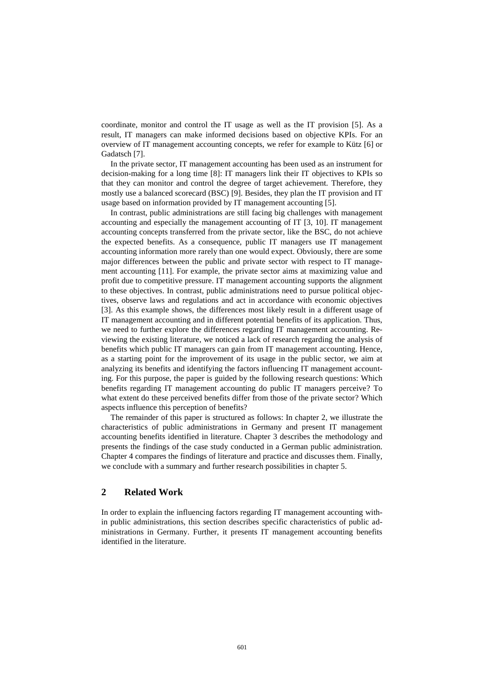coordinate, monitor and control the IT usage as well as the IT provision [\[5\]](#page-13-4). As a result, IT managers can make informed decisions based on objective KPIs. For an overview of IT management accounting concepts, we refer for example to Kütz [\[6\]](#page-13-5) or Gadatsch [\[7\]](#page-13-6).

In the private sector, IT management accounting has been used as an instrument for decision-making for a long time [\[8\]](#page-13-7): IT managers link their IT objectives to KPIs so that they can monitor and control the degree of target achievement. Therefore, they mostly use a balanced scorecard (BSC) [\[9\]](#page-13-8). Besides, they plan the IT provision and IT usage based on information provided by IT management accounting [\[5\]](#page-13-4).

In contrast, public administrations are still facing big challenges with management accounting and especially the management accounting of IT [\[3,](#page-13-2) [10\]](#page-13-9). IT management accounting concepts transferred from the private sector, like the BSC, do not achieve the expected benefits. As a consequence, public IT managers use IT management accounting information more rarely than one would expect. Obviously, there are some major differences between the public and private sector with respect to IT management accounting [\[11\]](#page-13-10). For example, the private sector aims at maximizing value and profit due to competitive pressure. IT management accounting supports the alignment to these objectives. In contrast, public administrations need to pursue political objectives, observe laws and regulations and act in accordance with economic objectives [\[3\]](#page-13-2). As this example shows, the differences most likely result in a different usage of IT management accounting and in different potential benefits of its application. Thus, we need to further explore the differences regarding IT management accounting. Reviewing the existing literature, we noticed a lack of research regarding the analysis of benefits which public IT managers can gain from IT management accounting. Hence, as a starting point for the improvement of its usage in the public sector, we aim at analyzing its benefits and identifying the factors influencing IT management accounting. For this purpose, the paper is guided by the following research questions: Which benefits regarding IT management accounting do public IT managers perceive? To what extent do these perceived benefits differ from those of the private sector? Which aspects influence this perception of benefits?

The remainder of this paper is structured as follows: In chapter 2, we illustrate the characteristics of public administrations in Germany and present IT management accounting benefits identified in literature. Chapter 3 describes the methodology and presents the findings of the case study conducted in a German public administration. Chapter 4 compares the findings of literature and practice and discusses them. Finally, we conclude with a summary and further research possibilities in chapter 5.

# **2 Related Work**

In order to explain the influencing factors regarding IT management accounting within public administrations, this section describes specific characteristics of public administrations in Germany. Further, it presents IT management accounting benefits identified in the literature.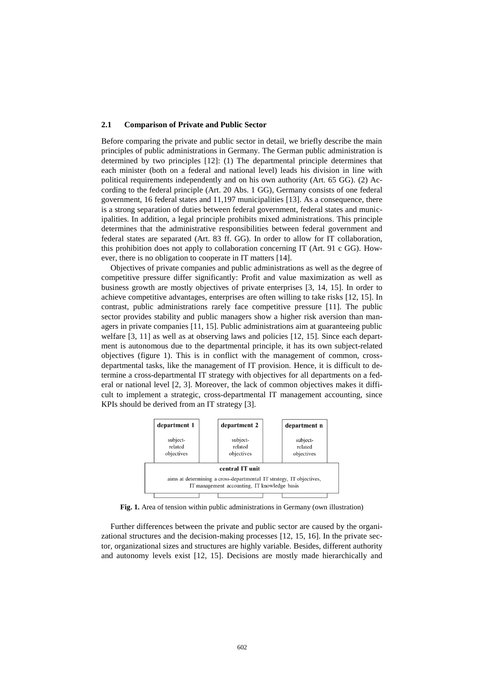#### **2.1 Comparison of Private and Public Sector**

Before comparing the private and public sector in detail, we briefly describe the main principles of public administrations in Germany. The German public administration is determined by two principles [\[12\]](#page-13-11): (1) The departmental principle determines that each minister (both on a federal and national level) leads his division in line with political requirements independently and on his own authority (Art. 65 GG). (2) According to the federal principle (Art. 20 Abs. 1 GG), Germany consists of one federal government, 16 federal states and 11,197 municipalities [\[13\]](#page-13-12). As a consequence, there is a strong separation of duties between federal government, federal states and municipalities. In addition, a legal principle prohibits mixed administrations. This principle determines that the administrative responsibilities between federal government and federal states are separated (Art. 83 ff. GG). In order to allow for IT collaboration, this prohibition does not apply to collaboration concerning IT (Art. 91 c GG). However, there is no obligation to cooperate in IT matters [\[14\]](#page-13-13).

Objectives of private companies and public administrations as well as the degree of competitive pressure differ significantly: Profit and value maximization as well as business growth are mostly objectives of private enterprises [\[3,](#page-13-2) [14,](#page-13-13) [15\]](#page-13-14). In order to achieve competitive advantages, enterprises are often willing to take risks [\[12,](#page-13-11) [15\]](#page-13-14). In contrast, public administrations rarely face competitive pressure [\[11\]](#page-13-10). The public sector provides stability and public managers show a higher risk aversion than managers in private companies [\[11,](#page-13-10) [15\]](#page-13-14). Public administrations aim at guaranteeing public welfare [\[3,](#page-13-2) [11\]](#page-13-10) as well as at observing laws and policies [\[12,](#page-13-11) [15\]](#page-13-14). Since each department is autonomous due to the departmental principle, it has its own subject-related objectives (figure 1). This is in conflict with the management of common, crossdepartmental tasks, like the management of IT provision. Hence, it is difficult to determine a cross-departmental IT strategy with objectives for all departments on a federal or national level [\[2,](#page-13-1) [3\]](#page-13-2). Moreover, the lack of common objectives makes it difficult to implement a strategic, cross-departmental IT management accounting, since KPIs should be derived from an IT strategy [\[3\]](#page-13-2).



**Fig. 1.** Area of tension within public administrations in Germany (own illustration)

Further differences between the private and public sector are caused by the organizational structures and the decision-making processes [\[12,](#page-13-11) [15,](#page-13-14) [16\]](#page-13-15). In the private sector, organizational sizes and structures are highly variable. Besides, different authority and autonomy levels exist [\[12,](#page-13-11) [15\]](#page-13-14). Decisions are mostly made hierarchically and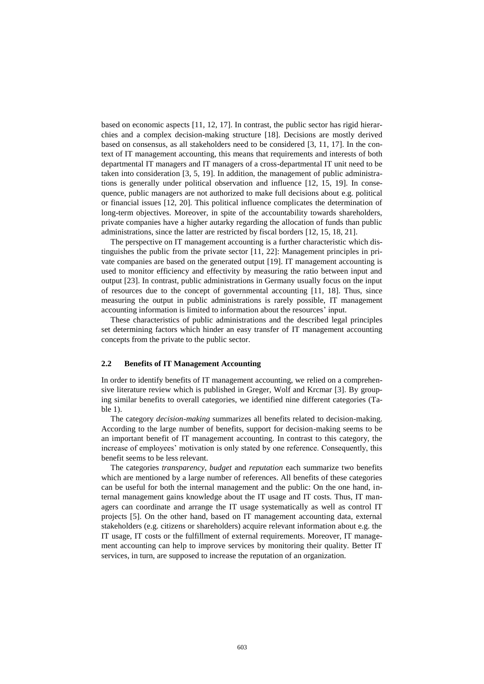based on economic aspects [\[11,](#page-13-10) [12,](#page-13-11) [17\]](#page-13-16). In contrast, the public sector has rigid hierarchies and a complex decision-making structure [\[18\]](#page-13-17). Decisions are mostly derived based on consensus, as all stakeholders need to be considered [\[3,](#page-13-2) [11,](#page-13-10) [17\]](#page-13-16). In the context of IT management accounting, this means that requirements and interests of both departmental IT managers and IT managers of a cross-departmental IT unit need to be taken into consideration [\[3,](#page-13-2) [5,](#page-13-4) [19\]](#page-13-18). In addition, the management of public administrations is generally under political observation and influence [\[12,](#page-13-11) [15,](#page-13-14) [19\]](#page-13-18). In consequence, public managers are not authorized to make full decisions about e.g. political or financial issues [\[12,](#page-13-11) [20\]](#page-14-0). This political influence complicates the determination of long-term objectives. Moreover, in spite of the accountability towards shareholders, private companies have a higher autarky regarding the allocation of funds than public administrations, since the latter are restricted by fiscal borders [\[12,](#page-13-11) [15,](#page-13-14) [18,](#page-13-17) [21\]](#page-14-1).

The perspective on IT management accounting is a further characteristic which distinguishes the public from the private sector [\[11,](#page-13-10) [22\]](#page-14-2): Management principles in private companies are based on the generated output [\[19\]](#page-13-18). IT management accounting is used to monitor efficiency and effectivity by measuring the ratio between input and output [\[23\]](#page-14-3). In contrast, public administrations in Germany usually focus on the input of resources due to the concept of governmental accounting [\[11,](#page-13-10) [18\]](#page-13-17). Thus, since measuring the output in public administrations is rarely possible, IT management accounting information is limited to information about the resources' input.

These characteristics of public administrations and the described legal principles set determining factors which hinder an easy transfer of IT management accounting concepts from the private to the public sector.

### **2.2 Benefits of IT Management Accounting**

In order to identify benefits of IT management accounting, we relied on a comprehensive literature review which is published in Greger, Wolf and Krcmar [\[3\]](#page-13-2). By grouping similar benefits to overall categories, we identified nine different categories (Table 1).

The category *decision-making* summarizes all benefits related to decision-making. According to the large number of benefits, support for decision-making seems to be an important benefit of IT management accounting. In contrast to this category, the increase of employees' motivation is only stated by one reference. Consequently, this benefit seems to be less relevant.

The categories *transparency*, *budget* and *reputation* each summarize two benefits which are mentioned by a large number of references. All benefits of these categories can be useful for both the internal management and the public: On the one hand, internal management gains knowledge about the IT usage and IT costs. Thus, IT managers can coordinate and arrange the IT usage systematically as well as control IT projects [\[5\]](#page-13-4). On the other hand, based on IT management accounting data, external stakeholders (e.g. citizens or shareholders) acquire relevant information about e.g. the IT usage, IT costs or the fulfillment of external requirements. Moreover, IT management accounting can help to improve services by monitoring their quality. Better IT services, in turn, are supposed to increase the reputation of an organization.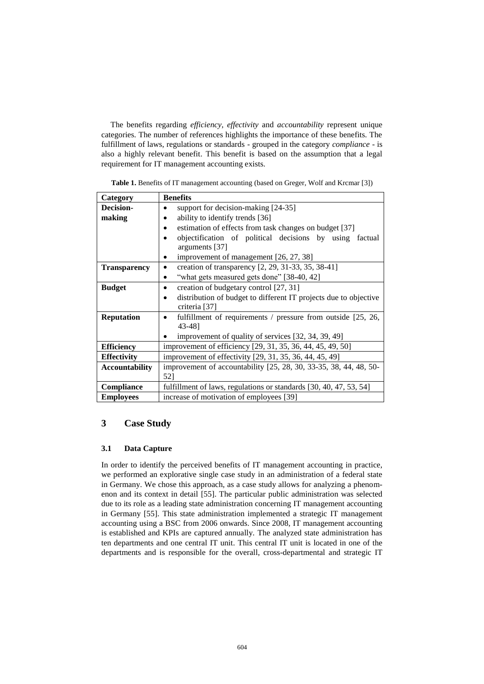The benefits regarding *efficiency*, *effectivity* and *accountability* represent unique categories. The number of references highlights the importance of these benefits. The fulfillment of laws, regulations or standards - grouped in the category *compliance* - is also a highly relevant benefit. This benefit is based on the assumption that a legal requirement for IT management accounting exists.

| Table 1. Benefits of IT management accounting (based on Greger, Wolf and Krcmar [3]) |  |  |  |
|--------------------------------------------------------------------------------------|--|--|--|
|                                                                                      |  |  |  |

| Category              | <b>Benefits</b>                                                                 |
|-----------------------|---------------------------------------------------------------------------------|
| <b>Decision-</b>      | support for decision-making [24-35]<br>$\bullet$                                |
| making                | ability to identify trends [36]                                                 |
|                       | estimation of effects from task changes on budget [37]                          |
|                       | objectification of political decisions by using<br>factual                      |
|                       | arguments [37]                                                                  |
|                       | improvement of management [26, 27, 38]                                          |
| <b>Transparency</b>   | creation of transparency [2, 29, 31-33, 35, 38-41]<br>$\bullet$                 |
|                       | "what gets measured gets done" [38-40, 42]                                      |
| <b>Budget</b>         | creation of budgetary control [27, 31]<br>٠                                     |
|                       | distribution of budget to different IT projects due to objective<br>٠           |
|                       | criteria [37]                                                                   |
| <b>Reputation</b>     | fulfillment of requirements / pressure from outside $[25, 26, 16]$<br>$\bullet$ |
|                       | 43-481                                                                          |
|                       | improvement of quality of services [32, 34, 39, 49]                             |
| <b>Efficiency</b>     | improvement of efficiency [29, 31, 35, 36, 44, 45, 49, 50]                      |
| <b>Effectivity</b>    | improvement of effectivity [29, 31, 35, 36, 44, 45, 49]                         |
| <b>Accountability</b> | improvement of accountability [25, 28, 30, 33-35, 38, 44, 48, 50-               |
|                       | 52]                                                                             |
| Compliance            | fulfillment of laws, regulations or standards [30, 40, 47, 53, 54]              |
| <b>Employees</b>      | increase of motivation of employees [39]                                        |

# **3 Case Study**

## **3.1 Data Capture**

In order to identify the perceived benefits of IT management accounting in practice, we performed an explorative single case study in an administration of a federal state in Germany. We chose this approach, as a case study allows for analyzing a phenomenon and its context in detail [\[55\]](#page-15-11). The particular public administration was selected due to its role as a leading state administration concerning IT management accounting in Germany [\[55\]](#page-15-11). This state administration implemented a strategic IT management accounting using a BSC from 2006 onwards. Since 2008, IT management accounting is established and KPIs are captured annually. The analyzed state administration has ten departments and one central IT unit. This central IT unit is located in one of the departments and is responsible for the overall, cross-departmental and strategic IT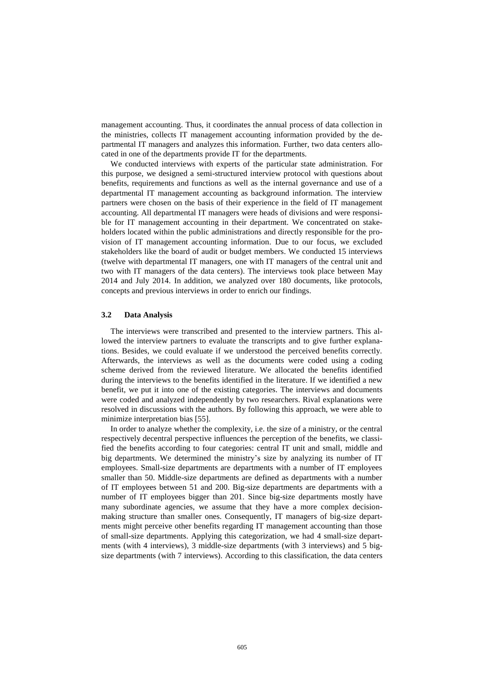management accounting. Thus, it coordinates the annual process of data collection in the ministries, collects IT management accounting information provided by the departmental IT managers and analyzes this information. Further, two data centers allocated in one of the departments provide IT for the departments.

We conducted interviews with experts of the particular state administration. For this purpose, we designed a semi-structured interview protocol with questions about benefits, requirements and functions as well as the internal governance and use of a departmental IT management accounting as background information. The interview partners were chosen on the basis of their experience in the field of IT management accounting. All departmental IT managers were heads of divisions and were responsible for IT management accounting in their department. We concentrated on stakeholders located within the public administrations and directly responsible for the provision of IT management accounting information. Due to our focus, we excluded stakeholders like the board of audit or budget members. We conducted 15 interviews (twelve with departmental IT managers, one with IT managers of the central unit and two with IT managers of the data centers). The interviews took place between May 2014 and July 2014. In addition, we analyzed over 180 documents, like protocols, concepts and previous interviews in order to enrich our findings.

#### **3.2 Data Analysis**

The interviews were transcribed and presented to the interview partners. This allowed the interview partners to evaluate the transcripts and to give further explanations. Besides, we could evaluate if we understood the perceived benefits correctly. Afterwards, the interviews as well as the documents were coded using a coding scheme derived from the reviewed literature. We allocated the benefits identified during the interviews to the benefits identified in the literature. If we identified a new benefit, we put it into one of the existing categories. The interviews and documents were coded and analyzed independently by two researchers. Rival explanations were resolved in discussions with the authors. By following this approach, we were able to minimize interpretation bias [\[55\]](#page-15-11).

In order to analyze whether the complexity, i.e. the size of a ministry, or the central respectively decentral perspective influences the perception of the benefits, we classified the benefits according to four categories: central IT unit and small, middle and big departments. We determined the ministry's size by analyzing its number of IT employees. Small-size departments are departments with a number of IT employees smaller than 50. Middle-size departments are defined as departments with a number of IT employees between 51 and 200. Big-size departments are departments with a number of IT employees bigger than 201. Since big-size departments mostly have many subordinate agencies, we assume that they have a more complex decisionmaking structure than smaller ones. Consequently, IT managers of big-size departments might perceive other benefits regarding IT management accounting than those of small-size departments. Applying this categorization, we had 4 small-size departments (with 4 interviews), 3 middle-size departments (with 3 interviews) and 5 bigsize departments (with 7 interviews). According to this classification, the data centers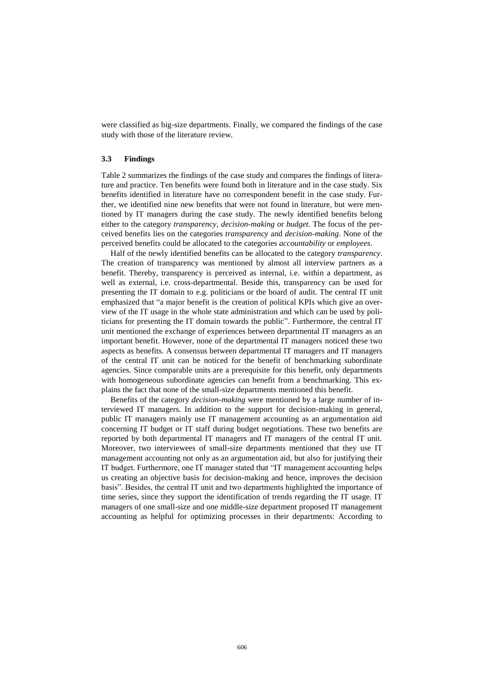were classified as big-size departments. Finally, we compared the findings of the case study with those of the literature review.

#### **3.3 Findings**

Table 2 summarizes the findings of the case study and compares the findings of literature and practice. Ten benefits were found both in literature and in the case study. Six benefits identified in literature have no correspondent benefit in the case study. Further, we identified nine new benefits that were not found in literature, but were mentioned by IT managers during the case study. The newly identified benefits belong either to the category *transparency*, *decision-making* or *budget*. The focus of the perceived benefits lies on the categories *transparency* and *decision-making*. None of the perceived benefits could be allocated to the categories *accountability* or *employees*.

Half of the newly identified benefits can be allocated to the category *transparency*. The creation of transparency was mentioned by almost all interview partners as a benefit. Thereby, transparency is perceived as internal, i.e. within a department, as well as external, i.e. cross-departmental. Beside this, transparency can be used for presenting the IT domain to e.g. politicians or the board of audit. The central IT unit emphasized that "a major benefit is the creation of political KPIs which give an overview of the IT usage in the whole state administration and which can be used by politicians for presenting the IT domain towards the public". Furthermore, the central IT unit mentioned the exchange of experiences between departmental IT managers as an important benefit. However, none of the departmental IT managers noticed these two aspects as benefits. A consensus between departmental IT managers and IT managers of the central IT unit can be noticed for the benefit of benchmarking subordinate agencies. Since comparable units are a prerequisite for this benefit, only departments with homogeneous subordinate agencies can benefit from a benchmarking. This explains the fact that none of the small-size departments mentioned this benefit.

Benefits of the category *decision-making* were mentioned by a large number of interviewed IT managers. In addition to the support for decision-making in general, public IT managers mainly use IT management accounting as an argumentation aid concerning IT budget or IT staff during budget negotiations. These two benefits are reported by both departmental IT managers and IT managers of the central IT unit. Moreover, two interviewees of small-size departments mentioned that they use IT management accounting not only as an argumentation aid, but also for justifying their IT budget. Furthermore, one IT manager stated that "IT management accounting helps us creating an objective basis for decision-making and hence, improves the decision basis". Besides, the central IT unit and two departments highlighted the importance of time series, since they support the identification of trends regarding the IT usage. IT managers of one small-size and one middle-size department proposed IT management accounting as helpful for optimizing processes in their departments: According to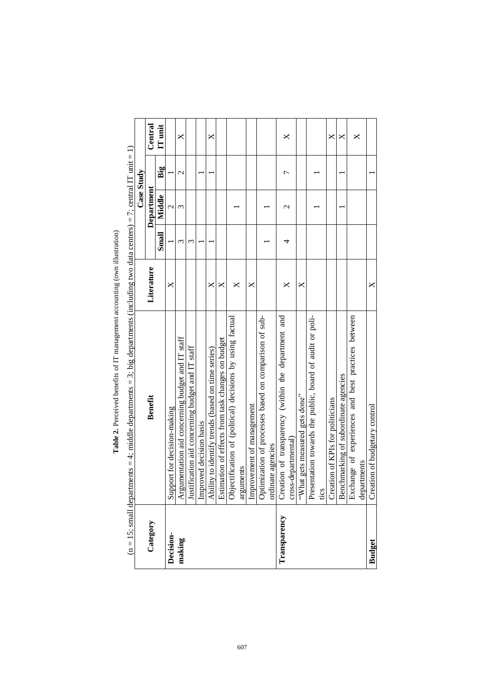|               | $(n = 15$ ; small departments = 4; middle departments = 3; big departments (including two data centers) = 7; central IT unit = 1) |            |       | <b>Case Study</b> |               |         |
|---------------|-----------------------------------------------------------------------------------------------------------------------------------|------------|-------|-------------------|---------------|---------|
| Category      | <b>Benefit</b>                                                                                                                    | Literature |       | Department        |               | Central |
|               |                                                                                                                                   |            | Small | Middle            | Big           | IT unit |
| Decision-     | Support for decision-making                                                                                                       | X          |       | $\mathcal{C}$     |               |         |
| making        | Argumentation aid concerning budget and IT staff                                                                                  |            | 3     | 3                 | $\mathcal{L}$ | X       |
|               | Justification aid concerning budget and IT staff                                                                                  |            | 3     |                   |               |         |
|               | Improved decision basis                                                                                                           |            |       |                   |               |         |
|               | Ability to identify trends (based on time series)                                                                                 | ×          |       |                   |               | ×       |
|               | Estimation of effects from task changes on budget                                                                                 | ×          |       |                   |               |         |
|               | Objectification of (political) decisions by using factual                                                                         | X          |       |                   |               |         |
|               | arguments                                                                                                                         |            |       |                   |               |         |
|               | Improvement of management                                                                                                         | ×          |       |                   |               |         |
|               | Optimization of processes based on comparison of sub-                                                                             |            |       |                   |               |         |
|               | ordinate agencies                                                                                                                 |            |       |                   |               |         |
| Transparency  | Creation of transparency (within the department and                                                                               | X          | 4     | $\mathcal{C}$     | Γ             | ×       |
|               | cross-departmental)                                                                                                               |            |       |                   |               |         |
|               | "What gets measured gets done"                                                                                                    | ×          |       |                   |               |         |
|               | Presentation towards the public, board of audit or poli-                                                                          |            |       |                   |               |         |
|               | tics                                                                                                                              |            |       |                   |               |         |
|               | Creation of KPIs for politicians                                                                                                  |            |       |                   |               | ×       |
|               | Benchmarking of subordinate agencies                                                                                              |            |       |                   |               | ×       |
|               | Exchange of experiences and best practices between                                                                                |            |       |                   |               | ×       |
|               | departments                                                                                                                       |            |       |                   |               |         |
| <b>Budget</b> | ion of budgetary control<br>Creati                                                                                                | X          |       |                   |               |         |

Table 2. Perceived benefits of IT management accounting (own illustration) **Table 2.** Perceived benefits of IT management accounting (own illustration)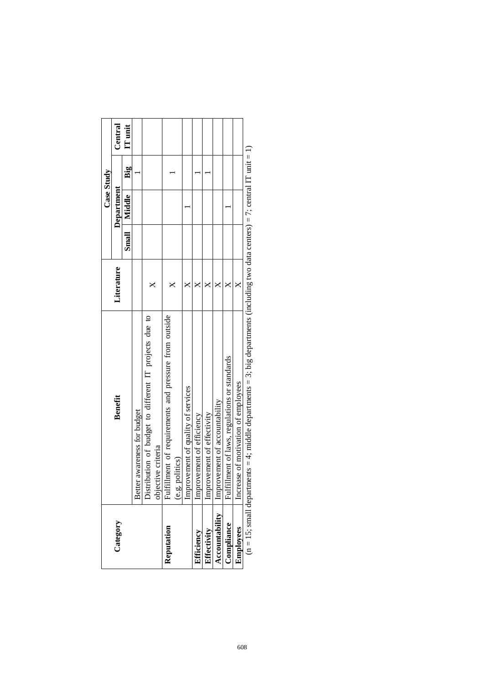|                  |                                                                                                                                  |            | <b>Case Study</b> |     |         |
|------------------|----------------------------------------------------------------------------------------------------------------------------------|------------|-------------------|-----|---------|
| Category         | Benefit                                                                                                                          | Literature | Department        |     | Central |
|                  |                                                                                                                                  |            | Small   Middle    | Big | IT unit |
|                  | awareness for budget<br><b>Better</b>                                                                                            |            |                   |     |         |
|                  | Distribution of budget to different IT projects due to                                                                           |            |                   |     |         |
|                  | objective criteria                                                                                                               |            |                   |     |         |
| Reputation       | Fulfillment of requirements and pressure from outside                                                                            | $\times$   |                   |     |         |
|                  | (e.g. politics)                                                                                                                  |            |                   |     |         |
|                  | Improvement of quality of services                                                                                               | ×          |                   |     |         |
| Efficiency       | Improvement of efficiency                                                                                                        |            |                   |     |         |
| Effectivity      | Improvement of effectivity                                                                                                       |            |                   |     |         |
| Accountability   | Improvement of accountability                                                                                                    |            |                   |     |         |
| Compliance       | ment of laws, regulations or standards<br>Fulfilli                                                                               |            |                   |     |         |
| <b>Employees</b> | Increase of motivation of employees                                                                                              |            |                   |     |         |
|                  | $(n = 15; small departments = 4; middle departments = 3; big departments (including two data centers) = 7; central IT unit = 1)$ |            |                   |     |         |

| ļ<br>l                                                                                                                    |
|---------------------------------------------------------------------------------------------------------------------------|
|                                                                                                                           |
|                                                                                                                           |
|                                                                                                                           |
| ļ                                                                                                                         |
|                                                                                                                           |
|                                                                                                                           |
|                                                                                                                           |
|                                                                                                                           |
|                                                                                                                           |
| l                                                                                                                         |
| l<br><b>STATE OF A STATE OF A STATE OF A STATE OF A STATE OF A STATE OF A STATE OF A STATE OF A STATE OF A STATE OF A</b> |
| ١                                                                                                                         |
|                                                                                                                           |
|                                                                                                                           |
|                                                                                                                           |
|                                                                                                                           |
|                                                                                                                           |
|                                                                                                                           |
|                                                                                                                           |
|                                                                                                                           |
|                                                                                                                           |
|                                                                                                                           |
| í                                                                                                                         |
|                                                                                                                           |
|                                                                                                                           |
|                                                                                                                           |
|                                                                                                                           |
|                                                                                                                           |
|                                                                                                                           |
|                                                                                                                           |
|                                                                                                                           |
| l                                                                                                                         |
|                                                                                                                           |
|                                                                                                                           |
|                                                                                                                           |
|                                                                                                                           |
| l<br>l                                                                                                                    |
|                                                                                                                           |
|                                                                                                                           |
|                                                                                                                           |
|                                                                                                                           |
|                                                                                                                           |
|                                                                                                                           |
|                                                                                                                           |
|                                                                                                                           |
|                                                                                                                           |
|                                                                                                                           |
|                                                                                                                           |
|                                                                                                                           |
|                                                                                                                           |
|                                                                                                                           |
| l                                                                                                                         |
|                                                                                                                           |
|                                                                                                                           |
|                                                                                                                           |
|                                                                                                                           |
|                                                                                                                           |
|                                                                                                                           |
|                                                                                                                           |
|                                                                                                                           |
| i                                                                                                                         |
|                                                                                                                           |
| l<br>í                                                                                                                    |
|                                                                                                                           |
| $\overline{\phantom{a}}$<br>l                                                                                             |
| 1                                                                                                                         |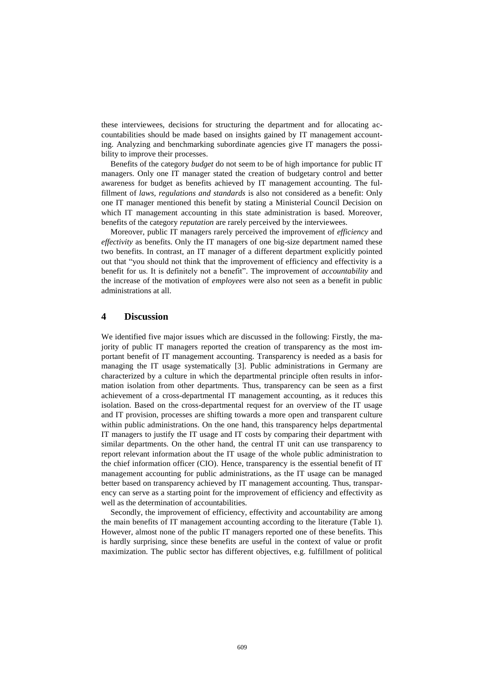these interviewees, decisions for structuring the department and for allocating accountabilities should be made based on insights gained by IT management accounting. Analyzing and benchmarking subordinate agencies give IT managers the possibility to improve their processes.

Benefits of the category *budget* do not seem to be of high importance for public IT managers. Only one IT manager stated the creation of budgetary control and better awareness for budget as benefits achieved by IT management accounting. The fulfillment of *laws, regulations and standards* is also not considered as a benefit: Only one IT manager mentioned this benefit by stating a Ministerial Council Decision on which IT management accounting in this state administration is based. Moreover, benefits of the category *reputation* are rarely perceived by the interviewees.

Moreover, public IT managers rarely perceived the improvement of *efficiency* and *effectivity* as benefits. Only the IT managers of one big-size department named these two benefits. In contrast, an IT manager of a different department explicitly pointed out that "you should not think that the improvement of efficiency and effectivity is a benefit for us. It is definitely not a benefit". The improvement of *accountability* and the increase of the motivation of *employees* were also not seen as a benefit in public administrations at all.

# **4 Discussion**

We identified five major issues which are discussed in the following: Firstly, the majority of public IT managers reported the creation of transparency as the most important benefit of IT management accounting. Transparency is needed as a basis for managing the IT usage systematically [\[3\]](#page-13-2). Public administrations in Germany are characterized by a culture in which the departmental principle often results in information isolation from other departments. Thus, transparency can be seen as a first achievement of a cross-departmental IT management accounting, as it reduces this isolation. Based on the cross-departmental request for an overview of the IT usage and IT provision, processes are shifting towards a more open and transparent culture within public administrations. On the one hand, this transparency helps departmental IT managers to justify the IT usage and IT costs by comparing their department with similar departments. On the other hand, the central IT unit can use transparency to report relevant information about the IT usage of the whole public administration to the chief information officer (CIO). Hence, transparency is the essential benefit of IT management accounting for public administrations, as the IT usage can be managed better based on transparency achieved by IT management accounting. Thus, transparency can serve as a starting point for the improvement of efficiency and effectivity as well as the determination of accountabilities.

Secondly, the improvement of efficiency, effectivity and accountability are among the main benefits of IT management accounting according to the literature (Table 1). However, almost none of the public IT managers reported one of these benefits. This is hardly surprising, since these benefits are useful in the context of value or profit maximization. The public sector has different objectives, e.g. fulfillment of political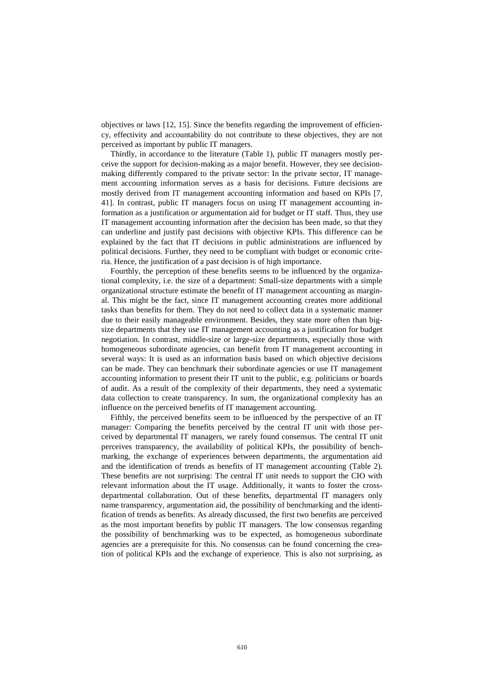objectives or laws [\[12,](#page-13-11) [15\]](#page-13-14). Since the benefits regarding the improvement of efficiency, effectivity and accountability do not contribute to these objectives, they are not perceived as important by public IT managers.

Thirdly, in accordance to the literature (Table 1), public IT managers mostly perceive the support for decision-making as a major benefit. However, they see decisionmaking differently compared to the private sector: In the private sector, IT management accounting information serves as a basis for decisions. Future decisions are mostly derived from IT management accounting information and based on KPIs [\[7,](#page-13-6) [41\]](#page-15-12). In contrast, public IT managers focus on using IT management accounting information as a justification or argumentation aid for budget or IT staff. Thus, they use IT management accounting information after the decision has been made, so that they can underline and justify past decisions with objective KPIs. This difference can be explained by the fact that IT decisions in public administrations are influenced by political decisions. Further, they need to be compliant with budget or economic criteria. Hence, the justification of a past decision is of high importance.

Fourthly, the perception of these benefits seems to be influenced by the organizational complexity, i.e. the size of a department: Small-size departments with a simple organizational structure estimate the benefit of IT management accounting as marginal. This might be the fact, since IT management accounting creates more additional tasks than benefits for them. They do not need to collect data in a systematic manner due to their easily manageable environment. Besides, they state more often than bigsize departments that they use IT management accounting as a justification for budget negotiation. In contrast, middle-size or large-size departments, especially those with homogeneous subordinate agencies, can benefit from IT management accounting in several ways: It is used as an information basis based on which objective decisions can be made. They can benchmark their subordinate agencies or use IT management accounting information to present their IT unit to the public, e.g. politicians or boards of audit. As a result of the complexity of their departments, they need a systematic data collection to create transparency. In sum, the organizational complexity has an influence on the perceived benefits of IT management accounting.

Fifthly, the perceived benefits seem to be influenced by the perspective of an IT manager: Comparing the benefits perceived by the central IT unit with those perceived by departmental IT managers, we rarely found consensus. The central IT unit perceives transparency, the availability of political KPIs, the possibility of benchmarking, the exchange of experiences between departments, the argumentation aid and the identification of trends as benefits of IT management accounting (Table 2). These benefits are not surprising: The central IT unit needs to support the CIO with relevant information about the IT usage. Additionally, it wants to foster the crossdepartmental collaboration. Out of these benefits, departmental IT managers only name transparency, argumentation aid, the possibility of benchmarking and the identification of trends as benefits. As already discussed, the first two benefits are perceived as the most important benefits by public IT managers. The low consensus regarding the possibility of benchmarking was to be expected, as homogeneous subordinate agencies are a prerequisite for this. No consensus can be found concerning the creation of political KPIs and the exchange of experience. This is also not surprising, as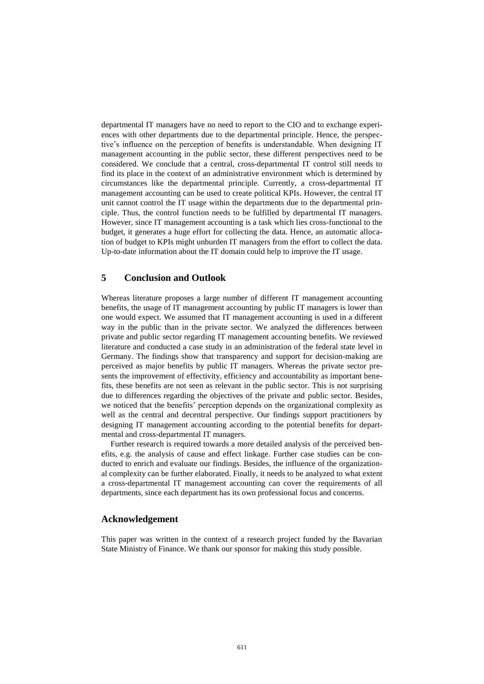departmental IT managers have no need to report to the CIO and to exchange experiences with other departments due to the departmental principle. Hence, the perspective's influence on the perception of benefits is understandable. When designing IT management accounting in the public sector, these different perspectives need to be considered. We conclude that a central, cross-departmental IT control still needs to find its place in the context of an administrative environment which is determined by circumstances like the departmental principle. Currently, a cross-departmental IT management accounting can be used to create political KPIs. However, the central IT unit cannot control the IT usage within the departments due to the departmental principle. Thus, the control function needs to be fulfilled by departmental IT managers. However, since IT management accounting is a task which lies cross-functional to the budget, it generates a huge effort for collecting the data. Hence, an automatic allocation of budget to KPIs might unburden IT managers from the effort to collect the data. Up-to-date information about the IT domain could help to improve the IT usage.

# **5 Conclusion and Outlook**

Whereas literature proposes a large number of different IT management accounting benefits, the usage of IT management accounting by public IT managers is lower than one would expect. We assumed that IT management accounting is used in a different way in the public than in the private sector. We analyzed the differences between private and public sector regarding IT management accounting benefits. We reviewed literature and conducted a case study in an administration of the federal state level in Germany. The findings show that transparency and support for decision-making are perceived as major benefits by public IT managers. Whereas the private sector presents the improvement of effectivity, efficiency and accountability as important benefits, these benefits are not seen as relevant in the public sector. This is not surprising due to differences regarding the objectives of the private and public sector. Besides, we noticed that the benefits' perception depends on the organizational complexity as well as the central and decentral perspective. Our findings support practitioners by designing IT management accounting according to the potential benefits for departmental and cross-departmental IT managers.

Further research is required towards a more detailed analysis of the perceived benefits, e.g. the analysis of cause and effect linkage. Further case studies can be conducted to enrich and evaluate our findings. Besides, the influence of the organizational complexity can be further elaborated. Finally, it needs to be analyzed to what extent a cross-departmental IT management accounting can cover the requirements of all departments, since each department has its own professional focus and concerns.

# **Acknowledgement**

This paper was written in the context of a research project funded by the Bavarian State Ministry of Finance. We thank our sponsor for making this study possible.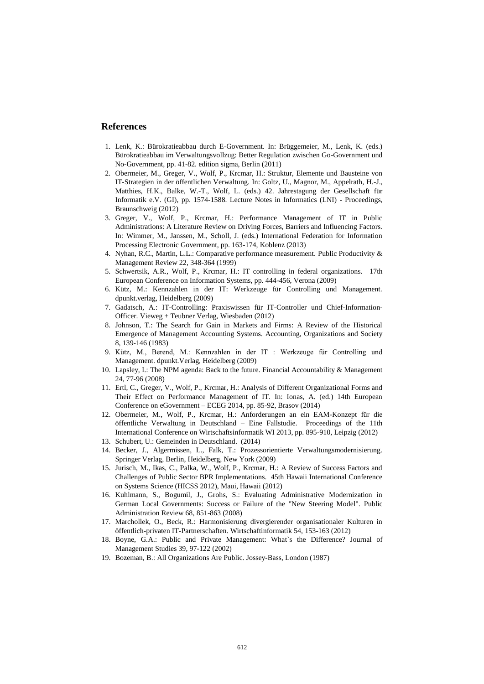# **References**

- <span id="page-13-0"></span>1. Lenk, K.: Bürokratieabbau durch E-Government. In: Brüggemeier, M., Lenk, K. (eds.) Bürokratieabbau im Verwaltungsvollzug: Better Regulation zwischen Go-Government und No-Government, pp. 41-82. edition sigma, Berlin (2011)
- <span id="page-13-1"></span>2. Obermeier, M., Greger, V., Wolf, P., Krcmar, H.: Struktur, Elemente und Bausteine von IT-Strategien in der öffentlichen Verwaltung. In: Goltz, U., Magnor, M., Appelrath, H.-J., Matthies, H.K., Balke, W.-T., Wolf, L. (eds.) 42. Jahrestagung der Gesellschaft für Informatik e.V. (GI), pp. 1574-1588. Lecture Notes in Informatics (LNI) - Proceedings, Braunschweig (2012)
- <span id="page-13-2"></span>3. Greger, V., Wolf, P., Krcmar, H.: Performance Management of IT in Public Administrations: A Literature Review on Driving Forces, Barriers and Influencing Factors. In: Wimmer, M., Janssen, M., Scholl, J. (eds.) International Federation for Information Processing Electronic Government, pp. 163-174, Koblenz (2013)
- <span id="page-13-3"></span>4. Nyhan, R.C., Martin, L.L.: Comparative performance measurement. Public Productivity & Management Review 22, 348-364 (1999)
- <span id="page-13-4"></span>5. Schwertsik, A.R., Wolf, P., Krcmar, H.: IT controlling in federal organizations. 17th European Conference on Information Systems, pp. 444-456, Verona (2009)
- <span id="page-13-5"></span>6. Kütz, M.: Kennzahlen in der IT: Werkzeuge für Controlling und Management. dpunkt.verlag, Heidelberg (2009)
- <span id="page-13-6"></span>7. Gadatsch, A.: IT-Controlling: Praxiswissen für IT-Controller und Chief-Information-Officer. Vieweg + Teubner Verlag, Wiesbaden (2012)
- <span id="page-13-7"></span>8. Johnson, T.: The Search for Gain in Markets and Firms: A Review of the Historical Emergence of Management Accounting Systems. Accounting, Organizations and Society 8, 139-146 (1983)
- <span id="page-13-8"></span>9. Kütz, M., Berend, M.: Kennzahlen in der IT : Werkzeuge für Controlling und Management. dpunkt.Verlag, Heidelberg (2009)
- <span id="page-13-9"></span>10. Lapsley, I.: The NPM agenda: Back to the future. Financial Accountability & Management 24, 77-96 (2008)
- <span id="page-13-10"></span>11. Ertl, C., Greger, V., Wolf, P., Krcmar, H.: Analysis of Different Organizational Forms and Their Effect on Performance Management of IT. In: Ionas, A. (ed.) 14th European Conference on eGovernment – ECEG 2014, pp. 85-92, Brasov (2014)
- <span id="page-13-11"></span>12. Obermeier, M., Wolf, P., Krcmar, H.: Anforderungen an ein EAM-Konzept für die öffentliche Verwaltung in Deutschland – Eine Fallstudie. Proceedings of the 11th International Conference on Wirtschaftsinformatik WI 2013, pp. 895-910, Leipzig (2012)
- <span id="page-13-12"></span>13. Schubert, U.: Gemeinden in Deutschland. (2014)
- <span id="page-13-13"></span>14. Becker, J., Algermissen, L., Falk, T.: Prozessorientierte Verwaltungsmodernisierung. Springer Verlag, Berlin, Heidelberg, New York (2009)
- <span id="page-13-14"></span>15. Jurisch, M., Ikas, C., Palka, W., Wolf, P., Krcmar, H.: A Review of Success Factors and Challenges of Public Sector BPR Implementations. 45th Hawaii International Conference on Systems Science (HICSS 2012), Maui, Hawaii (2012)
- <span id="page-13-15"></span>16. Kuhlmann, S., Bogumil, J., Grohs, S.: Evaluating Administrative Modernization in German Local Governments: Success or Failure of the "New Steering Model". Public Administration Review 68, 851-863 (2008)
- <span id="page-13-16"></span>17. Marchollek, O., Beck, R.: Harmonisierung divergierender organisationaler Kulturen in öffentlich-privaten IT-Partnerschaften. Wirtschaftinformatik 54, 153-163 (2012)
- <span id="page-13-17"></span>18. Boyne, G.A.: Public and Private Management: What`s the Difference? Journal of Management Studies 39, 97-122 (2002)
- <span id="page-13-18"></span>19. Bozeman, B.: All Organizations Are Public. Jossey-Bass, London (1987)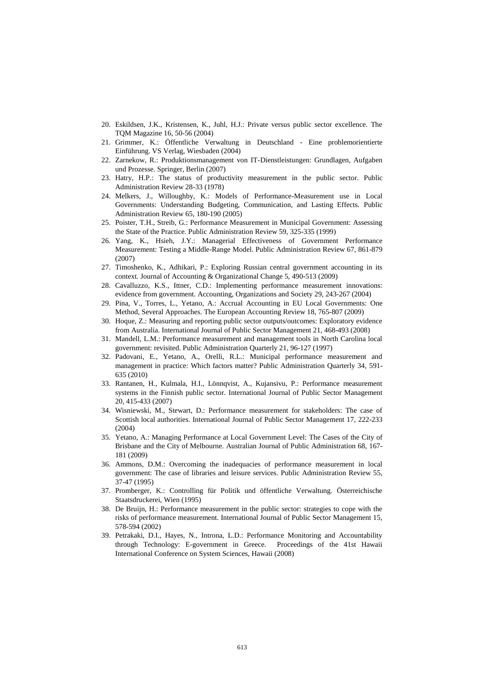- <span id="page-14-0"></span>20. Eskildsen, J.K., Kristensen, K., Juhl, H.J.: Private versus public sector excellence. The TQM Magazine 16, 50-56 (2004)
- <span id="page-14-1"></span>21. Grimmer, K.: Öffentliche Verwaltung in Deutschland - Eine problemorientierte Einführung. VS Verlag, Wiesbaden (2004)
- <span id="page-14-2"></span>22. Zarnekow, R.: Produktionsmanagement von IT-Dienstleistungen: Grundlagen, Aufgaben und Prozesse. Springer, Berlin (2007)
- <span id="page-14-3"></span>23. Hatry, H.P.: The status of productivity measurement in the public sector. Public Administration Review 28-33 (1978)
- <span id="page-14-4"></span>24. Melkers, J., Willoughby, K.: Models of Performance-Measurement use in Local Governments: Understanding Budgeting, Communication, and Lasting Effects. Public Administration Review 65, 180-190 (2005)
- <span id="page-14-13"></span>25. Poister, T.H., Streib, G.: Performance Measurement in Municipal Government: Assessing the State of the Practice. Public Administration Review 59, 325-335 (1999)
- <span id="page-14-7"></span>26. Yang, K., Hsieh, J.Y.: Managerial Effectiveness of Government Performance Measurement: Testing a Middle-Range Model. Public Administration Review 67, 861-879 (2007)
- <span id="page-14-8"></span>27. Timoshenko, K., Adhikari, P.: Exploring Russian central government accounting in its context. Journal of Accounting & Organizational Change 5, 490-513 (2009)
- <span id="page-14-17"></span>28. Cavalluzzo, K.S., Ittner, C.D.: Implementing performance measurement innovations: evidence from government. Accounting, Organizations and Society 29, 243-267 (2004)
- <span id="page-14-10"></span>29. Pina, V., Torres, L., Yetano, A.: Accrual Accounting in EU Local Governments: One Method, Several Approaches. The European Accounting Review 18, 765-807 (2009)
- <span id="page-14-18"></span>30. Hoque, Z.: Measuring and reporting public sector outputs/outcomes: Exploratory evidence from Australia. International Journal of Public Sector Management 21, 468-493 (2008)
- <span id="page-14-11"></span>31. Mandell, L.M.: Performance measurement and management tools in North Carolina local government: revisited. Public Administration Quarterly 21, 96-127 (1997)
- <span id="page-14-14"></span>32. Padovani, E., Yetano, A., Orelli, R.L.: Municipal performance measurement and management in practice: Which factors matter? Public Administration Quarterly 34, 591- 635 (2010)
- <span id="page-14-19"></span>33. Rantanen, H., Kulmala, H.I., Lönnqvist, A., Kujansivu, P.: Performance measurement systems in the Finnish public sector. International Journal of Public Sector Management 20, 415-433 (2007)
- <span id="page-14-15"></span>34. Wisniewski, M., Stewart, D.: Performance measurement for stakeholders: The case of Scottish local authorities. International Journal of Public Sector Management 17, 222-233 (2004)
- <span id="page-14-12"></span>35. Yetano, A.: Managing Performance at Local Government Level: The Cases of the City of Brisbane and the City of Melbourne. Australian Journal of Public Administration 68, 167- 181 (2009)
- <span id="page-14-5"></span>36. Ammons, D.M.: Overcoming the inadequacies of performance measurement in local government: The case of libraries and leisure services. Public Administration Review 55, 37-47 (1995)
- <span id="page-14-6"></span>37. Promberger, K.: Controlling für Politik und öffentliche Verwaltung. Österreichische Staatsdruckerei, Wien (1995)
- <span id="page-14-9"></span>38. De Bruijn, H.: Performance measurement in the public sector: strategies to cope with the risks of performance measurement. International Journal of Public Sector Management 15, 578-594 (2002)
- <span id="page-14-16"></span>39. Petrakaki, D.I., Hayes, N., Introna, L.D.: Performance Monitoring and Accountability through Technology: E-government in Greece. Proceedings of the 41st Hawaii International Conference on System Sciences, Hawaii (2008)